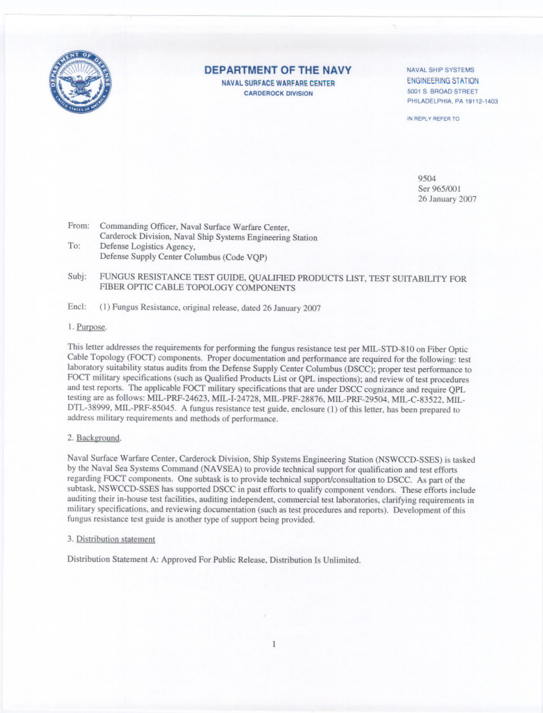

### **DEPARTMENT OF THE NAVY**

NAVAL SURFACE WARFARE CENTER **CARDEROCK DIVISION** 

NAVAL SHIP SYSTEMS **ENGINEERING STATION** 5001 S. BROAD STREET PHILADELPHIA, PA 19112-1403

IN REPLY REFER TO

9504 Ser 965/001 26 January 2007

From: Commanding Officer, Naval Surface Warfare Center, Carderock Division, Naval Ship Systems Engineering Station To: Defense Logistics Agency, Defense Supply Center Columbus (Code VOP)

- FUNGUS RESISTANCE TEST GUIDE, QUALIFIED PRODUCTS LIST, TEST SUITABILITY FOR Subj: FIBER OPTIC CABLE TOPOLOGY COMPONENTS
- Encl: (1) Fungus Resistance, original release, dated 26 January 2007

#### 1. Purpose.

This letter addresses the requirements for performing the fungus resistance test per MIL-STD-810 on Fiber Optic Cable Topology (FOCT) components. Proper documentation and performance are required for the following: test laboratory suitability status audits from the Defense Supply Center Columbus (DSCC); proper test performance to FOCT military specifications (such as Qualified Products List or QPL inspections); and review of test procedures and test reports. The applicable FOCT military specifications that are under DSCC cognizance and require QPL testing are as follows: MIL-PRF-24623, MIL-I-24728, MIL-PRF-28876, MIL-PRF-29504, MIL-C-83522, MIL-DTL-38999, MIL-PRF-85045. A fungus resistance test guide, enclosure (1) of this letter, has been prepared to address military requirements and methods of performance.

#### 2. Background.

Naval Surface Warfare Center, Carderock Division, Ship Systems Engineering Station (NSWCCD-SSES) is tasked by the Naval Sea Systems Command (NAVSEA) to provide technical support for qualification and test efforts regarding FOCT components. One subtask is to provide technical support/consultation to DSCC. As part of the subtask, NSWCCD-SSES has supported DSCC in past efforts to qualify component vendors. These efforts include auditing their in-house test facilities, auditing independent, commercial test laboratories, clarifying requirements in military specifications, and reviewing documentation (such as test procedures and reports). Development of this fungus resistance test guide is another type of support being provided.

#### 3. Distribution statement

Distribution Statement A: Approved For Public Release, Distribution Is Unlimited.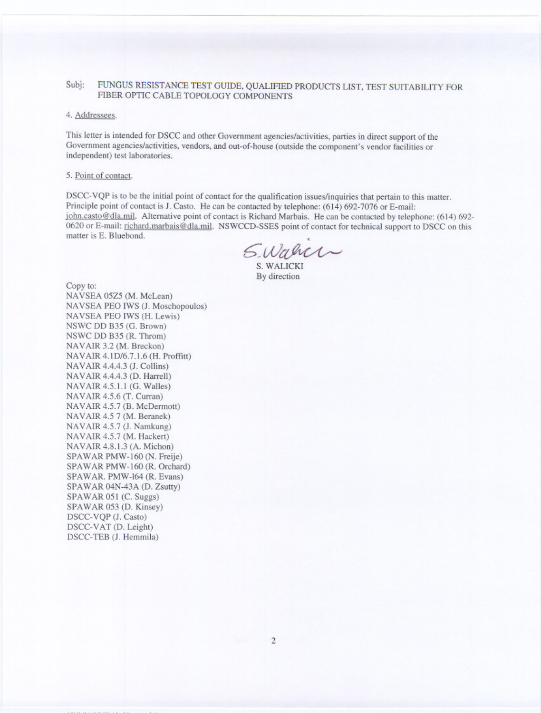#### FUNGUS RESISTANCE TEST GUIDE, QUALIFIED PRODUCTS LIST, TEST SUITABILITY FOR Subi: FIBER OPTIC CABLE TOPOLOGY COMPONENTS

#### 4. Addressees.

This letter is intended for DSCC and other Government agencies/activities, parties in direct support of the Government agencies/activities, vendors, and out-of-house (outside the component's vendor facilities or independent) test laboratories.

#### 5. Point of contact.

DSCC-VQP is to be the initial point of contact for the qualification issues/inquiries that pertain to this matter. Principle point of contact is J. Casto. He can be contacted by telephone: (614) 692-7076 or E-mail: john.casto@dla.mil. Alternative point of contact is Richard Marbais. He can be contacted by telephone: (614) 692-0620 or E-mail: richard.marbais@dla.mil. NSWCCD-SSES point of contact for technical support to DSCC on this matter is E. Bluebond.

Swann

S. WALICKI By direction

Copy to: NAVSEA 05Z5 (M. McLean) NAVSEA PEO IWS (J. Moschopoulos) NAVSEA PEO IWS (H. Lewis) NSWC DD B35 (G. Brown) NSWC DD B35 (R. Throm) NAVAIR 3.2 (M. Breckon) NAVAIR 4.1D/6.7.1.6 (H. Proffitt) NAVAIR 4.4.4.3 (J. Collins) NAVAIR 4.4.4.3 (D. Harrell) NAVAIR 4.5.1.1 (G. Walles) NAVAIR 4.5.6 (T. Curran) NAVAIR 4.5.7 (B. McDermott) NAVAIR 4.5 7 (M. Beranek) NAVAIR 4.5.7 (J. Namkung) NAVAIR 4.5.7 (M. Hackert) NAVAIR 4.8.1.3 (A. Michon) SPAWAR PMW-160 (N. Freije) SPAWAR PMW-160 (R. Orchard) SPAWAR. PMW-164 (R. Evans) SPAWAR 04N-43A (D. Zsutty) SPAWAR 051 (C. Suggs) SPAWAR 053 (D. Kinsey) DSCC-VQP (J. Casto) DSCC-VAT (D. Leight) DSCC-TEB (J. Hemmila)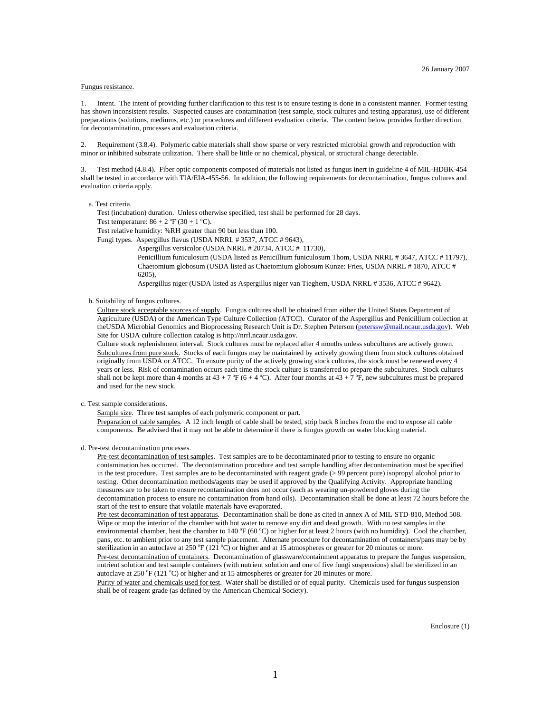#### Fungus resistance.

1. Intent. The intent of providing further clarification to this test is to ensure testing is done in a consistent manner. Former testing has shown inconsistent results. Suspected causes are contamination (test sample, stock cultures and testing apparatus), use of different preparations (solutions, mediums, etc.) or procedures and different evaluation criteria. The content below provides further direction for decontamination, processes and evaluation criteria.

2. Requirement (3.8.4). Polymeric cable materials shall show sparse or very restricted microbial growth and reproduction with minor or inhibited substrate utilization. There shall be little or no chemical, physical, or structural change detectable.

3. Test method (4.8.4). Fiber optic components composed of materials not listed as fungus inert in guideline 4 of MIL-HDBK-454 shall be tested in accordance with TIA/EIA-455-56. In addition, the following requirements for decontamination, fungus cultures and evaluation criteria apply.

#### a. Test criteria.

Test (incubation) duration. Unless otherwise specified, test shall be performed for 28 days.

Test temperature:  $86 \pm 2$  °F (30  $\pm$  1 °C).

Test relative humidity: %RH greater than 90 but less than 100.

Fungi types. Aspergillus flavus (USDA NRRL # 3537, ATCC # 9643),

Aspergillus versicolor (USDA NRRL # 20734, ATCC # 11730), Penicillium funiculosum (USDA listed as Penicillium funiculosum Thom, USDA NRRL # 3647, ATCC # 11797), Chaetomium globosum (USDA listed as Chaetomium globosum Kunze: Fries, USDA NRRL # 1870, ATCC # 6205),

Aspergillus niger (USDA listed as Aspergillus niger van Tieghem, USDA NRRL # 3536, ATCC # 9642).

b. Suitability of fungus cultures.

Culture stock acceptable sources of supply. Fungus cultures shall be obtained from either the United States Department of Agriculture (USDA) or the American Type Culture Collection (ATCC). Curator of the Aspergillus and Penicillium collection at the USDA Microbial Genomics and Bioprocessing Research Unit is Dr. Stephen Peterson [\(peterssw@mail.ncaur.usda.gov](mailto:peterssw@mail.ncaur.usda.gov)). Web Site for USDA culture collection catalog is http://nrrl.ncaur.usda.gov.

Culture stock replenishment interval. Stock cultures must be replaced after 4 months unless subcultures are actively grown. Subcultures from pure stock. Stocks of each fungus may be maintained by actively growing them from stock cultures obtained originally from USDA or ATCC. To ensure purity of the actively growing stock cultures, the stock must be renewed every 4 years or less. Risk of contamination occurs each time the stock culture is transferred to prepare the subcultures. Stock cultures shall not be kept more than 4 months at 43  $\pm$  7 °F (6  $\pm$  4 °C). After four months at 43  $\pm$  7 °F, new subcultures must be prepared and used for the new stock.

c. Test sample considerations.

Sample size. Three test samples of each polymeric component or part.

Preparation of cable samples. A 12 inch length of cable shall be tested, strip back 8 inches from the end to expose all cable components. Be advised that it may not be able to determine if there is fungus growth on water blocking material.

d. Pre-test decontamination processes.

Pre-test decontamination of test samples. Test samples are to be decontaminated prior to testing to ensure no organic contamination has occurred. The decontamination procedure and test sample handling after decontamination must be specified in the test procedure. Test samples are to be decontaminated with reagent grade (> 99 percent pure) isopropyl alcohol prior to testing. Other decontamination methods/agents may be used if approved by the Qualifying Activity. Appropriate handling measures are to be taken to ensure recontamination does not occur (such as wearing un-powdered gloves during the decontamination process to ensure no contamination from hand oils). Decontamination shall be done at least 72 hours before the start of the test to ensure that volatile materials have evaporated.

Pre-test decontamination of test apparatus. Decontamination shall be done as cited in annex A of MIL-STD-810, Method 508. Wipe or mop the interior of the chamber with hot water to remove any dirt and dead growth. With no test samples in the environmental chamber, heat the chamber to  $140^{\circ}F(60^{\circ}C)$  or higher for at least 2 hours (with no humidity). Cool the chamber, pans, etc. to ambient prior to any test sample placement. Alternate procedure for decontamination of containers/pans may be by sterilization in an autoclave at  $250^{\circ}F(121^{\circ}C)$  or higher and at 15 atmospheres or greater for 20 minutes or more.

Pre-test decontamination of containers. Decontamination of glassware/containment apparatus to prepare the fungus suspension, nutrient solution and test sample containers (with nutrient solution and one of five fungi suspensions) shall be sterilized in an autoclave at 250 °F (121 °C) or higher and at 15 atmospheres or greater for 20 minutes or more.

Purity of water and chemicals used for test. Water shall be distilled or of equal purity. Chemicals used for fungus suspension shall be of reagent grade (as defined by the American Chemical Society).

Enclosure (1)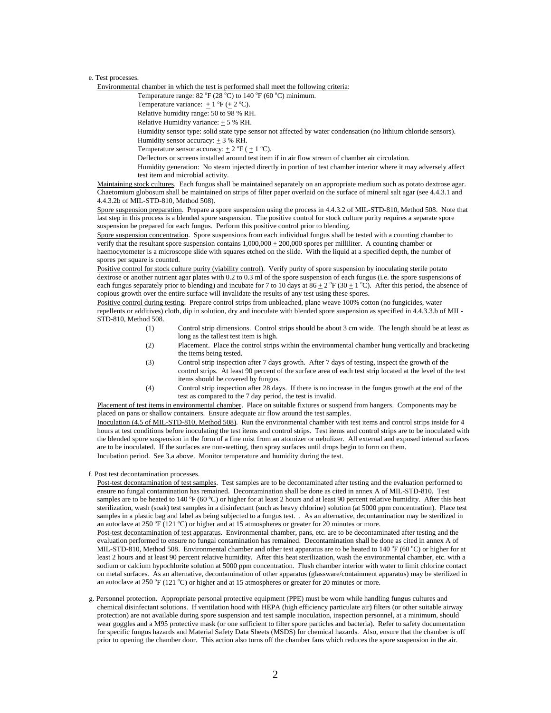#### e. Test processes.

Environmental chamber in which the test is performed shall meet the following criteria:

Temperature range:  $82 \text{ °F} (28 \text{ °C})$  to  $140 \text{ °F} (60 \text{ °C})$  minimum.

Temperature variance:  $\pm 1$  °F ( $\pm 2$  °C).

Relative humidity range: 50 to 98 % RH.

Relative Humidity variance:  $\pm$  5 % RH.

Humidity sensor type: solid state type sensor not affected by water condensation (no lithium chloride sensors).

Humidity sensor accuracy: + 3 % RH.

Temperature sensor accuracy:  $\pm 2$  °F ( $\pm 1$  °C).

Deflectors or screens installed around test item if in air flow stream of chamber air circulation.

Humidity generation: No steam injected directly in portion of test chamber interior where it may adversely affect test item and microbial activity.

Maintaining stock cultures. Each fungus shall be maintained separately on an appropriate medium such as potato dextrose agar. Chaetomium globosum shall be maintained on strips of filter paper overlaid on the surface of mineral salt agar (see 4.4.3.1 and 4.4.3.2b of MIL-STD-810, Method 508).

Spore suspension preparation. Prepare a spore suspension using the process in 4.4.3.2 of MIL-STD-810, Method 508. Note that last step in this process is a blended spore suspension. The positive control for stock culture purity requires a separate spore suspension be prepared for each fungus. Perform this positive control prior to blending.

Spore suspension concentration. Spore suspensions from each individual fungus shall be tested with a counting chamber to verify that the resultant spore suspension contains  $1,000,000 \pm 200,000$  spores per milliliter. A counting chamber or haemocytometer is a microscope slide with squares etched on the slide. With the liquid at a specified depth, the number of spores per square is counted.

Positive control for stock culture purity (viability control). Verify purity of spore suspension by inoculating sterile potato dextrose or another nutrient agar plates with 0.2 to 0.3 ml of the spore suspension of each fungus (i.e. the spore suspensions of each fungus separately prior to blending) and incubate for 7 to 10 days at  $86 \pm 2$  °F (30  $\pm$  1 °C). After this period, the absence of copious growth over the entire surface will invalidate the results of any test using these spores.

Positive control during testing. Prepare control strips from unbleached, plane weave 100% cotton (no fungicides, water repellents or additives) cloth, dip in solution, dry and inoculate with blended spore suspension as specified in 4.4.3.3.b of MIL-STD-810, Method 508.

- (1) Control strip dimensions. Control strips should be about 3 cm wide. The length should be at least as long as the tallest test item is high.
- (2) Placement. Place the control strips within the environmental chamber hung vertically and bracketing the items being tested.
- (3) Control strip inspection after 7 days growth. After 7 days of testing, inspect the growth of the control strips. At least 90 percent of the surface area of each test strip located at the level of the test items should be covered by fungus.
- (4) Control strip inspection after 28 days. If there is no increase in the fungus growth at the end of the test as compared to the 7 day period, the test is invalid.

Placement of test items in environmental chamber. Place on suitable fixtures or suspend from hangers. Components may be placed on pans or shallow containers. Ensure adequate air flow around the test samples.

Inoculation (4.5 of MIL-STD-810, Method 508). Run the environmental chamber with test items and control strips inside for 4 hours at test conditions before inoculating the test items and control strips. Test items and control strips are to be inoculated with the blended spore suspension in the form of a fine mist from an atomizer or nebulizer. All external and exposed internal surfaces are to be inoculated. If the surfaces are non-wetting, then spray surfaces until drops begin to form on them. Incubation period. See 3.a above. Monitor temperature and humidity during the test.

f. Post test decontamination processes.

Post-test decontamination of test samples. Test samples are to be decontaminated after testing and the evaluation performed to ensure no fungal contamination has remained. Decontamination shall be done as cited in annex A of MIL-STD-810. Test samples are to be heated to 140 °F (60 °C) or higher for at least 2 hours and at least 90 percent relative humidity. After this heat sterilization, wash (soak) test samples in a disinfectant (such as heavy chlorine) solution (at 5000 ppm concentration). Place test samples in a plastic bag and label as being subjected to a fungus test. . As an alternative, decontamination may be sterilized in an autoclave at 250 °F (121 °C) or higher and at 15 atmospheres or greater for 20 minutes or more.

Post-test decontamination of test apparatus. Environmental chamber, pans, etc. are to be decontaminated after testing and the evaluation performed to ensure no fungal contamination has remained. Decontamination shall be done as cited in annex A of MIL-STD-810, Method 508. Environmental chamber and other test apparatus are to be heated to 140  $\degree$ F (60  $\degree$ C) or higher for at least 2 hours and at least 90 percent relative humidity. After this heat sterilization, wash the environmental chamber, etc. with a sodium or calcium hypochlorite solution at 5000 ppm concentration. Flush chamber interior with water to limit chlorine contact on metal surfaces. As an alternative, decontamination of other apparatus (glassware/containment apparatus) may be sterilized in an autoclave at 250  $\rm{P}$  (121  $\rm{^{\circ}C}$ ) or higher and at 15 atmospheres or greater for 20 minutes or more.

g. Personnel protection. Appropriate personal protective equipment (PPE) must be worn while handling fungus cultures and chemical disinfectant solutions. If ventilation hood with HEPA (high efficiency particulate air) filters (or other suitable airway protection) are not available during spore suspension and test sample inoculation, inspection personnel, at a minimum, should wear goggles and a M95 protective mask (or one sufficient to filter spore particles and bacteria). Refer to safety documentation for specific fungus hazards and Material Safety Data Sheets (MSDS) for chemical hazards. Also, ensure that the chamber is off prior to opening the chamber door. This action also turns off the chamber fans which reduces the spore suspension in the air.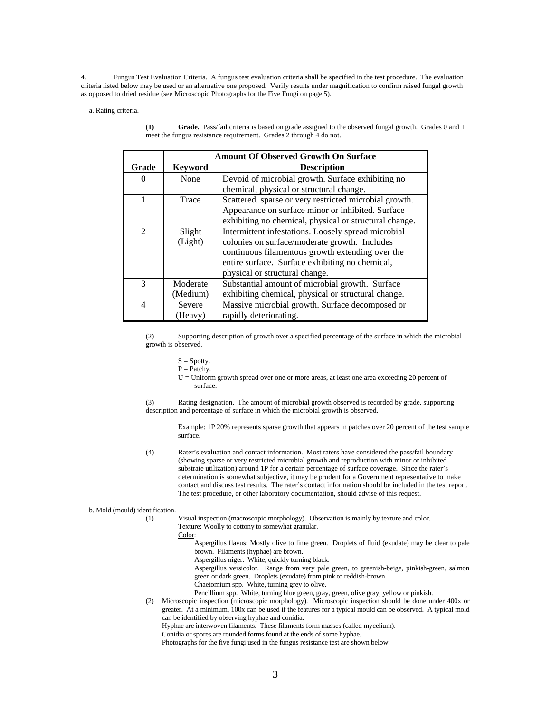4. Fungus Test Evaluation Criteria. A fungus test evaluation criteria shall be specified in the test procedure. The evaluation criteria listed below may be used or an alternative one proposed. Verify results under magnification to confirm raised fungal growth as opposed to dried residue (see Microscopic Photographs for the Five Fungi on page 5).

a. Rating criteria.

|                | <b>Amount Of Observed Growth On Surface</b> |                                                        |  |  |  |  |  |  |
|----------------|---------------------------------------------|--------------------------------------------------------|--|--|--|--|--|--|
| Grade          | <b>Keyword</b>                              | <b>Description</b>                                     |  |  |  |  |  |  |
| $\Omega$       | None                                        | Devoid of microbial growth. Surface exhibiting no      |  |  |  |  |  |  |
|                |                                             | chemical, physical or structural change.               |  |  |  |  |  |  |
|                | Trace                                       | Scattered. sparse or very restricted microbial growth. |  |  |  |  |  |  |
|                |                                             | Appearance on surface minor or inhibited. Surface      |  |  |  |  |  |  |
|                |                                             | exhibiting no chemical, physical or structural change. |  |  |  |  |  |  |
| $\mathfrak{D}$ | Slight                                      | Intermittent infestations. Loosely spread microbial    |  |  |  |  |  |  |
|                | (Light)                                     | colonies on surface/moderate growth. Includes          |  |  |  |  |  |  |
|                |                                             | continuous filamentous growth extending over the       |  |  |  |  |  |  |
|                |                                             | entire surface. Surface exhibiting no chemical,        |  |  |  |  |  |  |
|                |                                             | physical or structural change.                         |  |  |  |  |  |  |
| 3              | Moderate                                    | Substantial amount of microbial growth. Surface        |  |  |  |  |  |  |
|                | (Medium)                                    | exhibiting chemical, physical or structural change.    |  |  |  |  |  |  |
| 4              | Severe                                      | Massive microbial growth. Surface decomposed or        |  |  |  |  |  |  |
|                | (Heavy)                                     | rapidly deteriorating.                                 |  |  |  |  |  |  |

**(1) Grade.** Pass/fail criteria is based on grade assigned to the observed fungal growth. Grades 0 and 1 meet the fungus resistance requirement. Grades 2 through 4 do not.

(2) Supporting description of growth over a specified percentage of the surface in which the microbial growth is observed.

 $S =$  Spotty.

 $P =$  Patchy.

U = Uniform growth spread over one or more areas, at least one area exceeding 20 percent of surface.

(3) Rating designation. The amount of microbial growth observed is recorded by grade, supporting description and percentage of surface in which the microbial growth is observed.

Example: 1P 20% represents sparse growth that appears in patches over 20 percent of the test sample surface.

(4) Rater's evaluation and contact information. Most raters have considered the pass/fail boundary (showing sparse or very restricted microbial growth and reproduction with minor or inhibited substrate utilization) around 1P for a certain percentage of surface coverage. Since the rater's determination is somewhat subjective, it may be prudent for a Government representative to make contact and discuss test results. The rater's contact information should be included in the test report. The test procedure, or other laboratory documentation, should advise of this request.

### b. Mold (mould) identification.

Visual inspection (macroscopic morphology). Observation is mainly by texture and color. Texture: Woolly to cottony to somewhat granular.

Color:

Aspergillus flavus: Mostly olive to lime green. Droplets of fluid (exudate) may be clear to pale brown. Filaments (hyphae) are brown.

Aspergillus niger. White, quickly turning black.

Aspergillus versicolor. Range from very pale green, to greenish-beige, pinkish-green, salmon green or dark green. Droplets (exudate) from pink to reddish-brown.

- Chaetomium spp. White, turning grey to olive.
- Pencillium spp. White, turning blue green, gray, green, olive gray, yellow or pinkish.

(2) Microscopic inspection (microscopic morphology). Microscopic inspection should be done under 400x or greater. At a minimum, 100x can be used if the features for a typical mould can be observed. A typical mold can be identified by observing hyphae and conidia. Hyphae are interwoven filaments. These filaments form masses (called mycelium).

Conidia or spores are rounded forms found at the ends of some hyphae.

Photographs for the five fungi used in the fungus resistance test are shown below.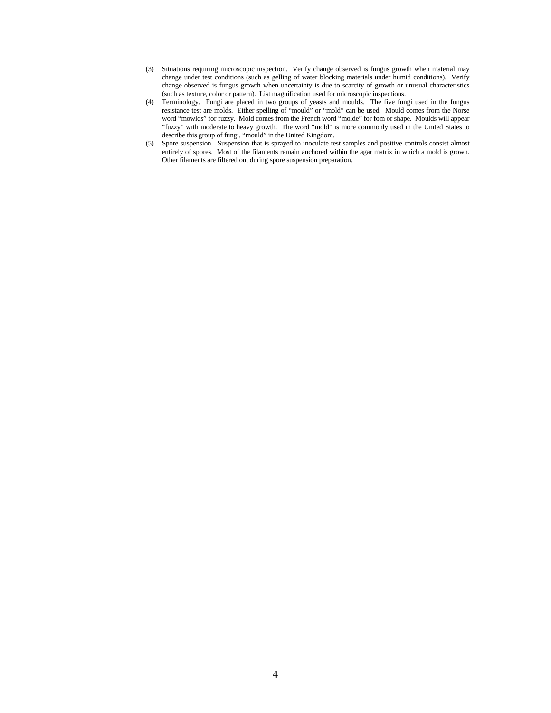- (3) Situations requiring microscopic inspection. Verify change observed is fungus growth when material may change under test conditions (such as gelling of water blocking materials under humid conditions). Verify change observed is fungus growth when uncertainty is due to scarcity of growth or unusual characteristics (such as texture, color or pattern). List magnification used for microscopic inspections.
- (4) Terminology. Fungi are placed in two groups of yeasts and moulds. The five fungi used in the fungus resistance test are molds. Either spelling of "mould" or "mold" can be used. Mould comes from the Norse word "mowlds" for fuzzy. Mold comes from the French word "molde" for fom or shape. Moulds will appear "fuzzy" with moderate to heavy growth. The word "mold" is more commonly used in the United States to describe this group of fungi, "mould" in the United Kingdom.
- (5) Spore suspension. Suspension that is sprayed to inoculate test samples and positive controls consist almost entirely of spores. Most of the filaments remain anchored within the agar matrix in which a mold is grown. Other filaments are filtered out during spore suspension preparation.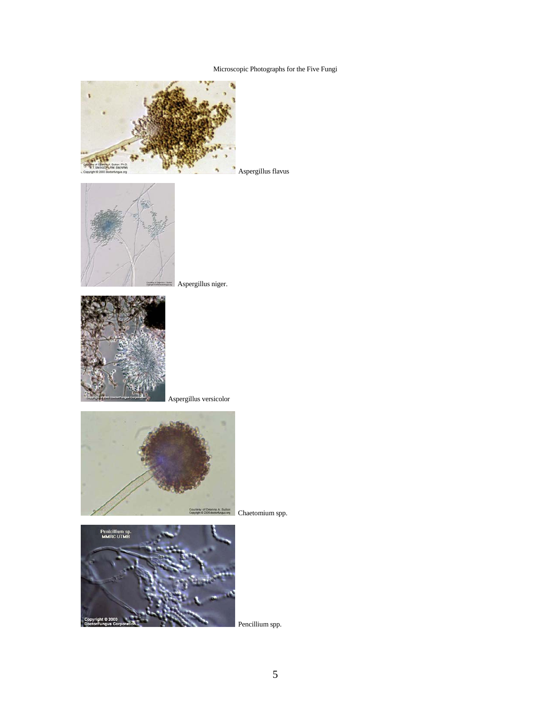Microscopic Photographs for the Five Fungi









Aspergillus versicolor



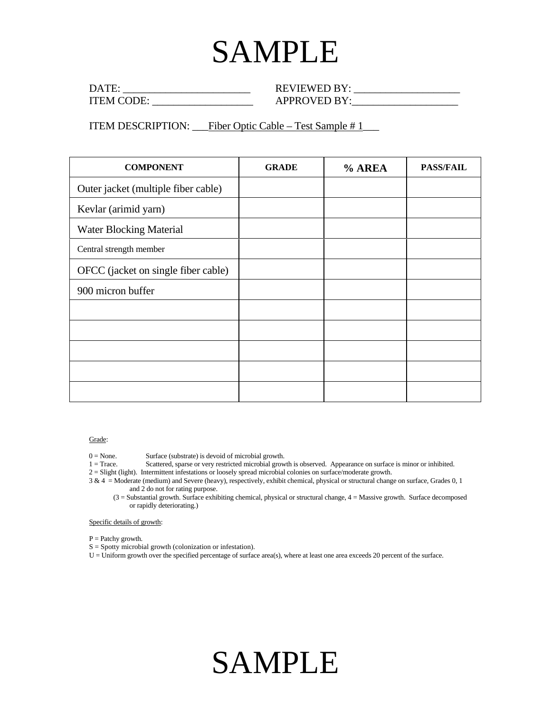# SAMPLE

| $DA^{\pi}$       | $REVIEWED BY+$ |
|------------------|----------------|
| <b>ITEM CODE</b> | APPROVED BY    |

ITEM DESCRIPTION: Fiber Optic Cable – Test Sample #1\_\_\_\_

| <b>COMPONENT</b>                    | <b>GRADE</b> | % AREA | <b>PASS/FAIL</b> |
|-------------------------------------|--------------|--------|------------------|
| Outer jacket (multiple fiber cable) |              |        |                  |
| Kevlar (arimid yarn)                |              |        |                  |
| <b>Water Blocking Material</b>      |              |        |                  |
| Central strength member             |              |        |                  |
| OFCC (jacket on single fiber cable) |              |        |                  |
| 900 micron buffer                   |              |        |                  |
|                                     |              |        |                  |
|                                     |              |        |                  |
|                                     |              |        |                  |
|                                     |              |        |                  |
|                                     |              |        |                  |

Grade:

0 = None. Surface (substrate) is devoid of microbial growth.<br>1 = Trace. Scattered, sparse or very restricted microbial grow

Scattered, sparse or very restricted microbial growth is observed. Appearance on surface is minor or inhibited.

2 = Slight (light). Intermittent infestations or loosely spread microbial colonies on surface/moderate growth.

3 & 4 = Moderate (medium) and Severe (heavy), respectively, exhibit chemical, physical or structural change on surface, Grades 0, 1 and 2 do not for rating purpose.

(3 = Substantial growth. Surface exhibiting chemical, physical or structural change, 4 = Massive growth. Surface decomposed or rapidly deteriorating.)

Specific details of growth:

P = Patchy growth.

S = Spotty microbial growth (colonization or infestation).

U = Uniform growth over the specified percentage of surface area(s), where at least one area exceeds 20 percent of the surface.

## SAMPLE